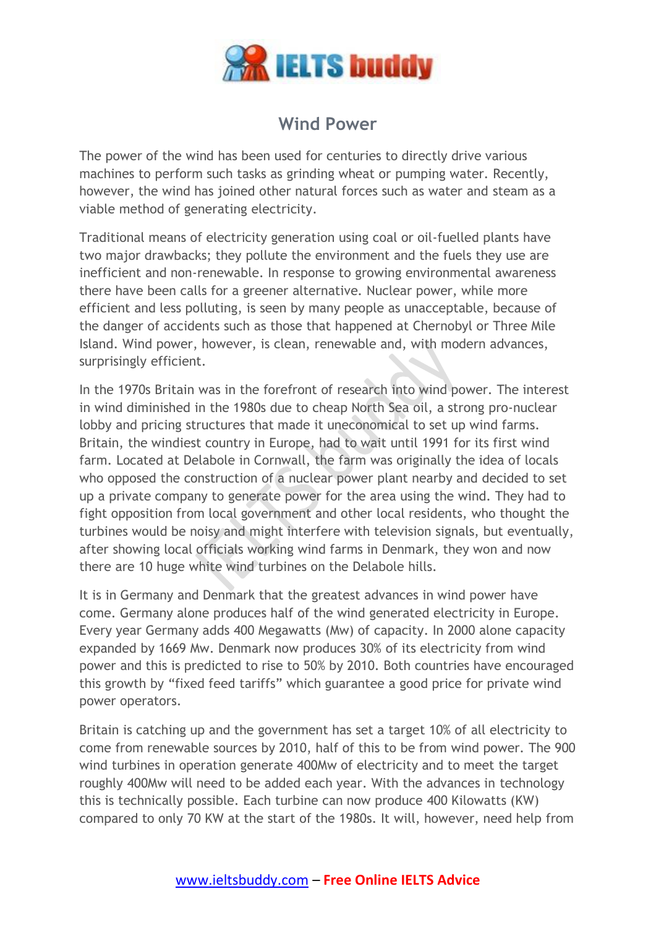

## **Wind Power**

The power of the wind has been used for centuries to directly drive various machines to perform such tasks as grinding wheat or pumping water. Recently, however, the wind has joined other natural forces such as water and steam as a viable method of generating electricity.

Traditional means of electricity generation using coal or oil-fuelled plants have two major drawbacks; they pollute the environment and the fuels they use are inefficient and non-renewable. In response to growing environmental awareness there have been calls for a greener alternative. Nuclear power, while more efficient and less polluting, is seen by many people as unacceptable, because of the danger of accidents such as those that happened at Chernobyl or Three Mile Island. Wind power, however, is clean, renewable and, with modern advances, surprisingly efficient.

In the 1970s Britain was in the forefront of research into wind power. The interest in wind diminished in the 1980s due to cheap North Sea oil, a strong pro-nuclear lobby and pricing structures that made it uneconomical to set up wind farms. Britain, the windiest country in Europe, had to wait until 1991 for its first wind farm. Located at Delabole in Cornwall, the farm was originally the idea of locals who opposed the construction of a nuclear power plant nearby and decided to set up a private company to generate power for the area using the wind. They had to fight opposition from local government and other local residents, who thought the turbines would be noisy and might interfere with television signals, but eventually, after showing local officials working wind farms in Denmark, they won and now there are 10 huge white wind turbines on the Delabole hills.

It is in Germany and Denmark that the greatest advances in wind power have come. Germany alone produces half of the wind generated electricity in Europe. Every year Germany adds 400 Megawatts (Mw) of capacity. In 2000 alone capacity expanded by 1669 Mw. Denmark now produces 30% of its electricity from wind power and this is predicted to rise to 50% by 2010. Both countries have encouraged this growth by "fixed feed tariffs" which guarantee a good price for private wind power operators.

Britain is catching up and the government has set a target 10% of all electricity to come from renewable sources by 2010, half of this to be from wind power. The 900 wind turbines in operation generate 400Mw of electricity and to meet the target roughly 400Mw will need to be added each year. With the advances in technology this is technically possible. Each turbine can now produce 400 Kilowatts (KW) compared to only 70 KW at the start of the 1980s. It will, however, need help from